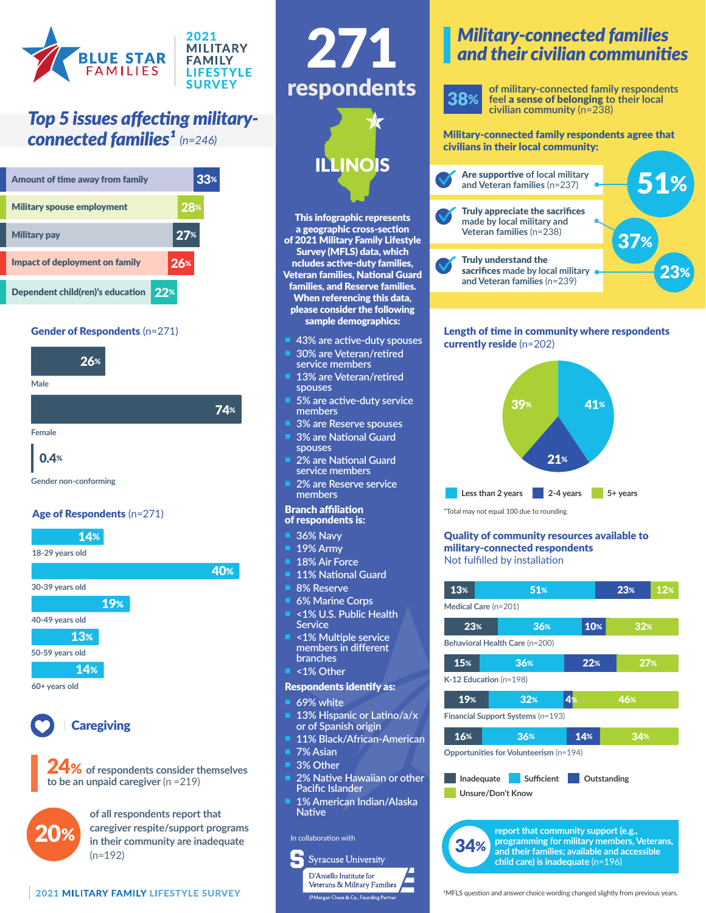

## *Top 5 issues affecting military-*



#### Gender of Respondents (n=271)



**Male**

**Female**

0.4%



**Gender non-conforming**







24% **of respondents consider themselves to be an unpaid caregiver** (n =219)



**of all respondents report that caregiver respite/support programs in their community are inadequate**  (n=192)





This infographic represents a geographic cross-section of 2021 Military Family Lifestyle Survey (MFLS) data, which ncludes active-duty families, Veteran families, National Guard families, and Reserve families. When referencing this data, please consider the following sample demographics:

- n **43% are active-duty spouses**
- n **30% are Veteran/retired service members**
- 13% are Veteran/retired **spouses**
- **5% are active-duty service members**
- **3% are Reserve spouses**
- **3% are National Guard spouses**
- **2% are National Guard service members**
- **2% are Reserve service members**

#### Branch affiliation of respondents is:

- **36% Navv**
- n **19% Army**
- **18% Air Force**
- n **11% National Guard**
- **8% Reserve**
- **6% Marine Corps**
- n **<1% U.S. Public Health Service**
- n **<1% Multiple service members in different branches**
- n **<1% Other**

#### Respondents identify as:

- **69% white**
- 13% Hispanic or Latino/a/x **or of Spanish origin**
- 11% Black/African-American
- **7% Asian**
- n **3% Other**
- **2% Native Hawaiian or other Pacific Islander**
- n **1% American Indian/Alaska Native**

#### In collaboration with



### *Military-connected families and their civilian communities*



**of military-connected family respondents feel** a sense of belonging **to their local civilian community** (n=238)

**connected families<sup>1</sup>** (n=246) Military-connected family respondents agree that civilians in their local community:



#### Length of time in community where respondents currently reside (n=202)



#### Quality of community resources available to military-connected respondents Not fulfilled by installation

| 13%                                                                                                                                                                            | 51% |     | 23% |                 | 12% |
|--------------------------------------------------------------------------------------------------------------------------------------------------------------------------------|-----|-----|-----|-----------------|-----|
| Medical Care (n=201)                                                                                                                                                           |     |     |     |                 |     |
| 23%                                                                                                                                                                            | 36% | 10% |     | 32%             |     |
| Behavioral Health Care (n=200)                                                                                                                                                 |     |     |     |                 |     |
| 15%                                                                                                                                                                            | 36% | 22% |     | 27 <sub>%</sub> |     |
| $K-12$ Education (n=198)                                                                                                                                                       |     |     |     |                 |     |
| 19%                                                                                                                                                                            | 32% | 4%  |     | 46%             |     |
| Financial Support Systems (n=193)                                                                                                                                              |     |     |     |                 |     |
| 16%                                                                                                                                                                            | 36% | 14% |     | 34%             |     |
| Opportunities for Volunteerism (n=194)                                                                                                                                         |     |     |     |                 |     |
| <b>Sufficient</b><br>Inadequate<br>Outstanding<br>Unsure/Don't Know                                                                                                            |     |     |     |                 |     |
| report that community support (e.g.,<br>programming for military members, Veterans,<br>and their families; available and accessible<br>$child$ care) is inadequate ( $n=196$ ) |     |     |     |                 |     |